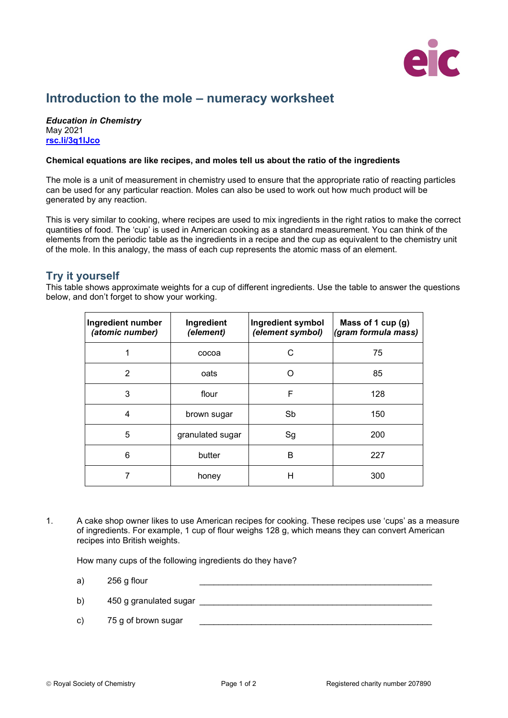

## **Introduction to the mole – numeracy worksheet**

*Education in Chemistry* May 2021 **[rsc.li/3q1lJco](https://rsc.li/3q1lJco)**

## **Chemical equations are like recipes, and moles tell us about the ratio of the ingredients**

The mole is a unit of measurement in chemistry used to ensure that the appropriate ratio of reacting particles can be used for any particular reaction. Moles can also be used to work out how much product will be generated by any reaction.

This is very similar to cooking, where recipes are used to mix ingredients in the right ratios to make the correct quantities of food. The 'cup' is used in American cooking as a standard measurement. You can think of the elements from the periodic table as the ingredients in a recipe and the cup as equivalent to the chemistry unit of the mole. In this analogy, the mass of each cup represents the atomic mass of an element.

## **Try it yourself**

This table shows approximate weights for a cup of different ingredients. Use the table to answer the questions below, and don't forget to show your working.

| Ingredient number<br>(atomic number) | Ingredient<br>(element) | Ingredient symbol<br>(element symbol) | Mass of 1 cup (g)<br>(gram formula mass) |
|--------------------------------------|-------------------------|---------------------------------------|------------------------------------------|
|                                      | cocoa                   | C.                                    | 75                                       |
| 2                                    | oats                    |                                       | 85                                       |
| 3                                    | flour                   | F                                     | 128                                      |
| 4                                    | brown sugar             | Sb                                    | 150                                      |
| 5                                    | granulated sugar        | Sg                                    | 200                                      |
| 6                                    | butter                  | B                                     | 227                                      |
|                                      | honey                   | н                                     | 300                                      |

1. A cake shop owner likes to use American recipes for cooking. These recipes use 'cups' as a measure of ingredients. For example, 1 cup of flour weighs 128 g, which means they can convert American recipes into British weights.

How many cups of the following ingredients do they have?

- a)  $256$  g flour
- b) 450 g granulated sugar
- c) 75 g of brown sugar